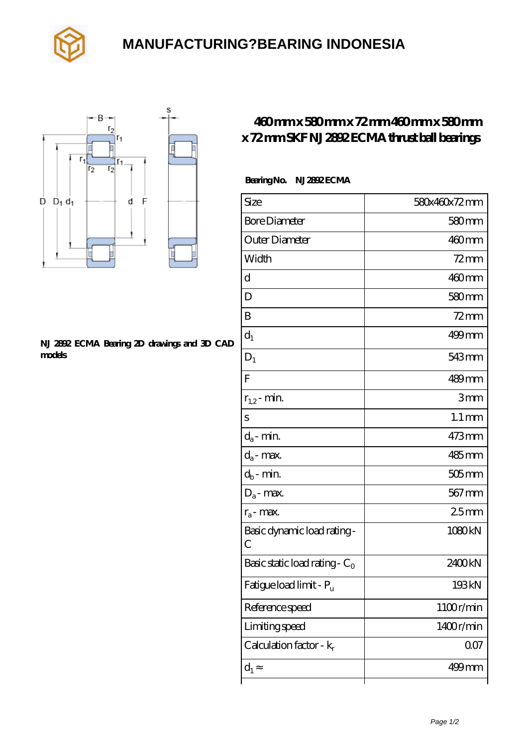

## **[MANUFACTURING?BEARING INDONESIA](https://ctrciec.cn)**



#### **[NJ 2892 ECMA Bearing 2D drawings and 3D CAD](https://ctrciec.cn/pic-151819.html) [models](https://ctrciec.cn/pic-151819.html)**

### **[460 mm x 580 mm x 72 mm 460 mm x 580 mm](https://ctrciec.cn/ar-151819-skf-nj-2892-ecma-thrust-ball-bearings.html) [x 72 mm SKF NJ 2892 ECMA thrust ball bearings](https://ctrciec.cn/ar-151819-skf-nj-2892-ecma-thrust-ball-bearings.html)**

### **Bearing No. NJ 2892 ECMA**

| Size                                       | 580x460x72mm        |
|--------------------------------------------|---------------------|
| <b>Bore Diameter</b>                       | $580$ mm            |
| Outer Diameter                             | 460mm               |
| Width                                      | $72 \text{mm}$      |
| d                                          | $460$ mm            |
| D                                          | $580$ mm            |
| B                                          | 72 mm               |
| $\mathrm{d}_{1}$                           | 499mm               |
| $D_1$                                      | 543 <sub>mm</sub>   |
| $\overline{F}$                             | 489mm               |
| $r_{1,2}$ - min.                           | 3mm                 |
| S                                          | $1.1 \,\mathrm{mm}$ |
| $d_a$ - min.                               | 473mm               |
| $d_a$ - max.                               | $485$ mm            |
| $d_b$ - min.                               | $505$ mm            |
| $D_a$ - max.                               | $567 \,\mathrm{mm}$ |
| $r_a$ - max.                               | 25mm                |
| Basic dynamic load rating-<br>$\mathcal C$ | 1080kN              |
| Basic static load rating - $C_0$           | 2400kN              |
| Fatigue load limit - P <sub>u</sub>        | 193kN               |
| Reference speed                            | 1100r/min           |
| Limiting speed                             | 1400r/min           |
| Calculation factor - $k_r$                 | 007                 |
| $d_1$                                      | $499$ mm            |